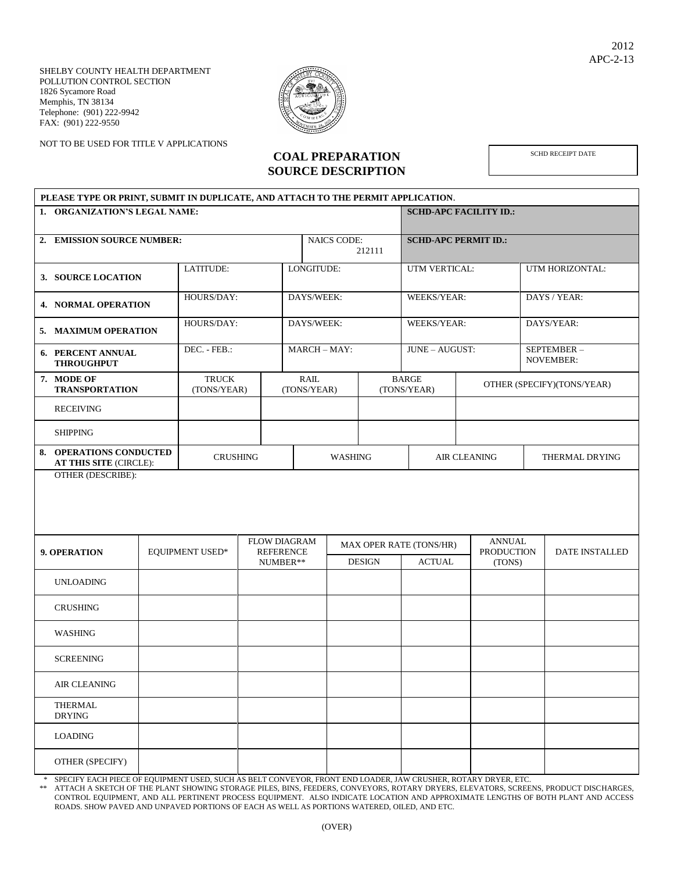SHELBY COUNTY HEALTH DEPARTMENT POLLUTION CONTROL SECTION 1826 Sycamore Road Memphis, TN 38134 Telephone: (901) 222-9942 FAX: (901) 222-9550

NOT TO BE USED FOR TITLE V APPLICATIONS



**COAL PREPARATION SOURCE DESCRIPTION** SCHD RECEIPT DATE

| PLEASE TYPE OR PRINT, SUBMIT IN DUPLICATE, AND ATTACH TO THE PERMIT APPLICATION. |                                                   |                        |                               |                                         |            |                            |                |                             |                                    |  |                            |  |  |
|----------------------------------------------------------------------------------|---------------------------------------------------|------------------------|-------------------------------|-----------------------------------------|------------|----------------------------|----------------|-----------------------------|------------------------------------|--|----------------------------|--|--|
|                                                                                  | 1. ORGANIZATION'S LEGAL NAME:                     |                        | <b>SCHD-APC FACILITY ID.:</b> |                                         |            |                            |                |                             |                                    |  |                            |  |  |
|                                                                                  | 2. EMISSION SOURCE NUMBER:                        |                        |                               |                                         |            | <b>NAICS CODE:</b>         | 212111         | <b>SCHD-APC PERMIT ID.:</b> |                                    |  |                            |  |  |
|                                                                                  | 3. SOURCE LOCATION                                | LATITUDE:              |                               | LONGITUDE:                              |            | UTM VERTICAL:              |                | UTM HORIZONTAL:             |                                    |  |                            |  |  |
| <b>4. NORMAL OPERATION</b>                                                       |                                                   |                        | HOURS/DAY:                    |                                         | DAYS/WEEK: |                            | WEEKS/YEAR:    |                             | DAYS / YEAR:                       |  |                            |  |  |
| 5. MAXIMUM OPERATION                                                             |                                                   |                        | HOURS/DAY:                    |                                         | DAYS/WEEK: |                            | WEEKS/YEAR:    |                             | DAYS/YEAR:                         |  |                            |  |  |
| 6. PERCENT ANNUAL<br><b>THROUGHPUT</b>                                           |                                                   |                        | DEC. - FEB.:                  |                                         | MARCH-MAY: |                            | JUNE - AUGUST: |                             | SEPTEMBER-<br><b>NOVEMBER:</b>     |  |                            |  |  |
|                                                                                  | 7. MODE OF<br><b>TRANSPORTATION</b>               |                        | <b>TRUCK</b><br>(TONS/YEAR)   |                                         |            | <b>RAIL</b><br>(TONS/YEAR) |                | <b>BARGE</b><br>(TONS/YEAR) |                                    |  | OTHER (SPECIFY)(TONS/YEAR) |  |  |
|                                                                                  | <b>RECEIVING</b>                                  |                        |                               |                                         |            |                            |                |                             |                                    |  |                            |  |  |
| <b>SHIPPING</b>                                                                  |                                                   |                        |                               |                                         |            |                            |                |                             |                                    |  |                            |  |  |
|                                                                                  | 8. OPERATIONS CONDUCTED<br>AT THIS SITE (CIRCLE): | <b>CRUSHING</b>        | <b>WASHING</b>                |                                         |            |                            | AIR CLEANING   | THERMAL DRYING              |                                    |  |                            |  |  |
| OTHER (DESCRIBE):                                                                |                                                   |                        |                               |                                         |            |                            |                |                             |                                    |  |                            |  |  |
| 9. OPERATION<br><b>UNLOADING</b>                                                 |                                                   | <b>EQUIPMENT USED*</b> |                               | <b>FLOW DIAGRAM</b><br><b>REFERENCE</b> |            |                            |                | MAX OPER RATE (TONS/HR)     | <b>ANNUAL</b><br><b>PRODUCTION</b> |  | <b>DATE INSTALLED</b>      |  |  |
|                                                                                  |                                                   |                        |                               | NUMBER**                                |            |                            | <b>DESIGN</b>  | <b>ACTUAL</b>               | (TONS)                             |  |                            |  |  |
| <b>CRUSHING</b>                                                                  |                                                   |                        |                               |                                         |            |                            |                |                             |                                    |  |                            |  |  |
| <b>WASHING</b>                                                                   |                                                   |                        |                               |                                         |            |                            |                |                             |                                    |  |                            |  |  |
| <b>SCREENING</b>                                                                 |                                                   |                        |                               |                                         |            |                            |                |                             |                                    |  |                            |  |  |
| <b>AIR CLEANING</b>                                                              |                                                   |                        |                               |                                         |            |                            |                |                             |                                    |  |                            |  |  |
| <b>THERMAL</b><br><b>DRYING</b>                                                  |                                                   |                        |                               |                                         |            |                            |                |                             |                                    |  |                            |  |  |
| <b>LOADING</b>                                                                   |                                                   |                        |                               |                                         |            |                            |                |                             |                                    |  |                            |  |  |
| OTHER (SPECIFY)                                                                  |                                                   |                        |                               |                                         |            |                            |                |                             |                                    |  |                            |  |  |

\* SPECIFY EACH PIECE OF EQUIPMENT USED, SUCH AS BELT CONVEYOR, FRONT END LOADER, JAW CRUSHER, ROTARY DRYER, ETC.

ATTACH A SKETCH OF THE PLANT SHOWING STORAGE PILES, BINS, FEEDERS, CONVEYORS, ROTARY DRYERS, ELEVATORS, SCREENS, PRODUCT DISCHARGES, CONTROL EQUIPMENT, AND ALL PERTINENT PROCESS EQUIPMENT. ALSO INDICATE LOCATION AND APPROXIMATE LENGTHS OF BOTH PLANT AND ACCESS ROADS. SHOW PAVED AND UNPAVED PORTIONS OF EACH AS WELL AS PORTIONS WATERED, OILED, AND ETC.